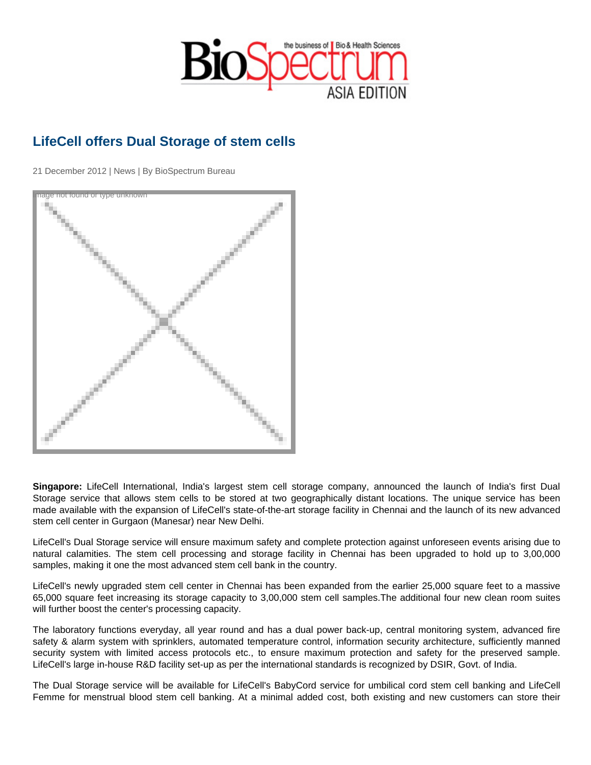## LifeCell offers Dual Storage of stem cells

21 December 2012 | News | By BioSpectrum Bureau

Image not found or type unknown

Singapore: LifeCell International, India's largest stem cell storage company, announced the launch of India's first Dual Storage service that allows stem cells to be stored at two geographically distant locations. The unique service has been made available with the expansion of LifeCell's state-of-the-art storage facility in Chennai and the launch of its new advanced stem cell center in Gurgaon (Manesar) near New Delhi.

LifeCell's Dual Storage service will ensure maximum safety and complete protection against unforeseen events arising due to natural calamities. The stem cell processing and storage facility in Chennai has been upgraded to hold up to 3,00,000 samples, making it one the most advanced stem cell bank in the country.

LifeCell's newly upgraded stem cell center in Chennai has been expanded from the earlier 25,000 square feet to a massive 65,000 square feet increasing its storage capacity to 3,00,000 stem cell samples.The additional four new clean room suites will further boost the center's processing capacity.

The laboratory functions everyday, all year round and has a dual power back-up, central monitoring system, advanced fire safety & alarm system with sprinklers, automated temperature control, information security architecture, sufficiently manned security system with limited access protocols etc., to ensure maximum protection and safety for the preserved sample. LifeCell's large in-house R&D facility set-up as per the international standards is recognized by DSIR, Govt. of India.

The Dual Storage service will be available for LifeCell's BabyCord service for umbilical cord stem cell banking and LifeCell Femme for menstrual blood stem cell banking. At a minimal added cost, both existing and new customers can store their